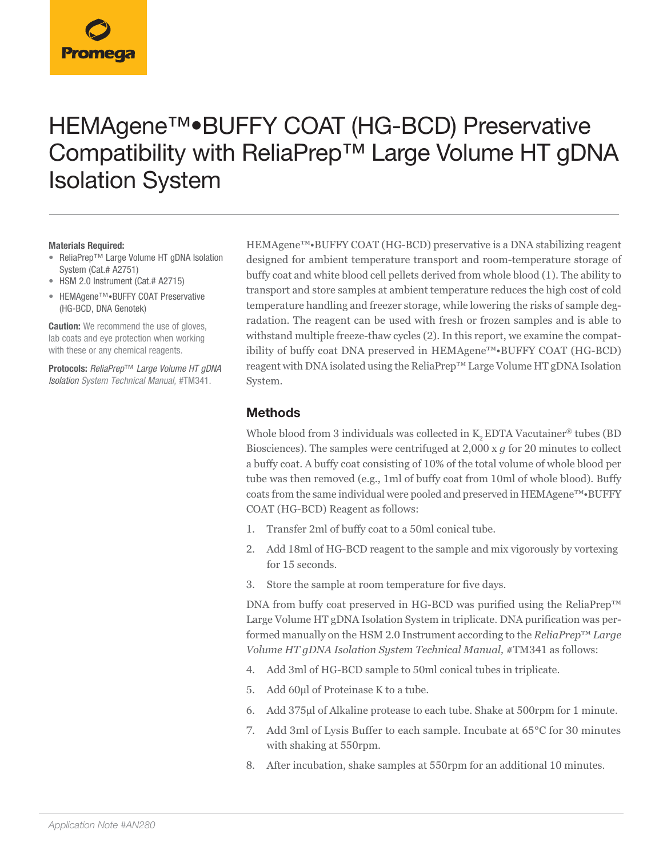# HEMAgene™•BUFFY COAT (HG-BCD) Preservative Compatibility with ReliaPrep™ Large Volume HT gDNA Isolation System

#### **Materials Required:**

- ReliaPrep™ Large Volume HT gDNA Isolation System (Cat.# A2751)
- HSM 2.0 Instrument (Cat.# A2715)
- HEMAgene™•BUFFY COAT Preservative (HG-BCD, DNA Genotek)

**Caution:** We recommend the use of gloves, lab coats and eye protection when working with these or any chemical reagents.

**Protocols:** *ReliaPrep*™ *Large Volume HT gDNA Isolation System Technical Manual,* #TM341.

HEMAgene™•BUFFY COAT (HG-BCD) preservative is a DNA stabilizing reagent designed for ambient temperature transport and room-temperature storage of buffy coat and white blood cell pellets derived from whole blood (1). The ability to transport and store samples at ambient temperature reduces the high cost of cold temperature handling and freezer storage, while lowering the risks of sample degradation. The reagent can be used with fresh or frozen samples and is able to withstand multiple freeze-thaw cycles (2). In this report, we examine the compatibility of buffy coat DNA preserved in HEMAgene™•BUFFY COAT (HG-BCD) reagent with DNA isolated using the ReliaPrep™ Large Volume HT gDNA Isolation System.

#### **Methods**

Whole blood from 3 individuals was collected in K<sub>2</sub> EDTA Vacutainer<sup>®</sup> tubes (BD Biosciences). The samples were centrifuged at 2,000 x *g* for 20 minutes to collect a buffy coat. A buffy coat consisting of 10% of the total volume of whole blood per tube was then removed (e.g., 1ml of buffy coat from 10ml of whole blood). Buffy coats from the same individual were pooled and preserved in HEMAgene™•BUFFY COAT (HG-BCD) Reagent as follows:

- 1. Transfer 2ml of buffy coat to a 50ml conical tube.
- 2. Add 18ml of HG-BCD reagent to the sample and mix vigorously by vortexing for 15 seconds.
- 3. Store the sample at room temperature for five days.

DNA from buffy coat preserved in HG-BCD was purified using the ReliaPrep™ Large Volume HT gDNA Isolation System in triplicate. DNA purification was performed manually on the HSM 2.0 Instrument according to the *ReliaPrep*™ *Large Volume HT gDNA Isolation System Technical Manual, #TM341 as follows:* 

- 4. Add 3ml of HG-BCD sample to 50ml conical tubes in triplicate.
- 5. Add 60µl of Proteinase K to a tube.
- 6. Add 375µl of Alkaline protease to each tube. Shake at 500rpm for 1 minute.
- 7. Add 3ml of Lysis Buffer to each sample. Incubate at 65°C for 30 minutes with shaking at 550rpm.
- 8. After incubation, shake samples at 550rpm for an additional 10 minutes.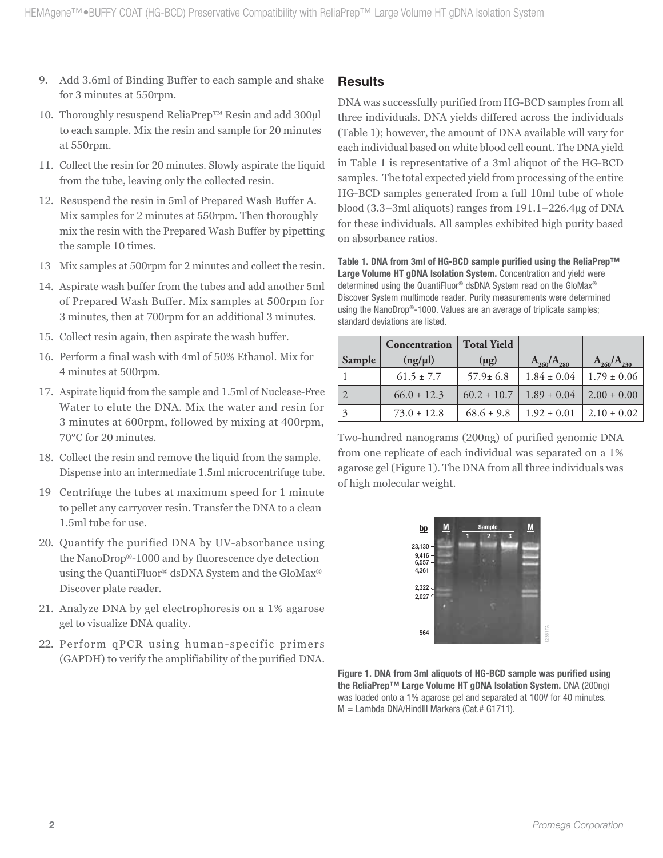- 9. Add 3.6ml of Binding Buffer to each sample and shake for 3 minutes at 550rpm.
- 10. Thoroughly resuspend ReliaPrep<sup>™</sup> Resin and add 300µl to each sample. Mix the resin and sample for 20 minutes at 550rpm.
- 11. Collect the resin for 20 minutes. Slowly aspirate the liquid from the tube, leaving only the collected resin.
- 12. Resuspend the resin in 5ml of Prepared Wash Buffer A. Mix samples for 2 minutes at 550rpm. Then thoroughly mix the resin with the Prepared Wash Buffer by pipetting the sample 10 times.
- 13 Mix samples at 500rpm for 2 minutes and collect the resin.
- 14. Aspirate wash buffer from the tubes and add another 5ml of Prepared Wash Buffer. Mix samples at 500rpm for 3 minutes, then at 700rpm for an additional 3 minutes.
- 15. Collect resin again, then aspirate the wash buffer.
- 16. Perform a final wash with 4ml of 50% Ethanol. Mix for 4 minutes at 500rpm.
- 17. Aspirate liquid from the sample and 1.5ml of Nuclease-Free Water to elute the DNA. Mix the water and resin for 3 minutes at 600rpm, followed by mixing at 400rpm, 70°C for 20 minutes.
- 18. Collect the resin and remove the liquid from the sample. Dispense into an intermediate 1.5ml microcentrifuge tube.
- 19 Centrifuge the tubes at maximum speed for 1 minute to pellet any carryover resin. Transfer the DNA to a clean 1.5ml tube for use.
- 20. Quantify the purified DNA by UV-absorbance using the NanoDrop®-1000 and by fluorescence dye detection using the QuantiFluor® dsDNA System and the GloMax® Discover plate reader.
- 21. Analyze DNA by gel electrophoresis on a 1% agarose gel to visualize DNA quality.
- 22. Perform qPCR using human-specific primers (GAPDH) to verify the amplifiability of the purified DNA.

## **Results**

DNA was successfully purified from HG-BCD samples from all three individuals. DNA yields differed across the individuals (Table 1); however, the amount of DNA available will vary for each individual based on white blood cell count. The DNA yield in Table 1 is representative of a 3ml aliquot of the HG-BCD samples. The total expected yield from processing of the entire HG-BCD samples generated from a full 10ml tube of whole blood (3.3–3ml aliquots) ranges from 191.1–226.4µg of DNA for these individuals. All samples exhibited high purity based on absorbance ratios.

**Table 1. DNA from 3ml of HG-BCD sample purified using the ReliaPrep™ Large Volume HT gDNA Isolation System.** Concentration and yield were determined using the QuantiFluor® dsDNA System read on the GloMax® Discover System multimode reader. Purity measurements were determined using the NanoDrop®-1000. Values are an average of triplicate samples; standard deviations are listed.

|        | Concentration   | <b>Total Yield</b> |                   |                   |
|--------|-----------------|--------------------|-------------------|-------------------|
| Sample | (ng/µl)         | $(\mu g)$          | $A_{260}/A_{280}$ | $A_{260}/A_{230}$ |
|        | $61.5 \pm 7.7$  | $57.9 \pm 6.8$     | $1.84 \pm 0.04$   | $1.79 \pm 0.06$   |
|        | $66.0 \pm 12.3$ | $60.2 \pm 10.7$    | $1.89 \pm 0.04$   | $2.00 \pm 0.00$   |
|        | $73.0 \pm 12.8$ | $68.6 \pm 9.8$     | $1.92 \pm 0.01$   | $2.10 \pm 0.02$   |

Two-hundred nanograms (200ng) of purified genomic DNA from one replicate of each individual was separated on a 1% agarose gel (Figure 1). The DNA from all three individuals was of high molecular weight.



**Figure 1. DNA from 3ml aliquots of HG-BCD sample was purified using the ReliaPrep™ Large Volume HT gDNA Isolation System.** DNA (200ng) was loaded onto a 1% agarose gel and separated at 100V for 40 minutes. M = Lambda DNA/HindIII Markers (Cat.# G1711).